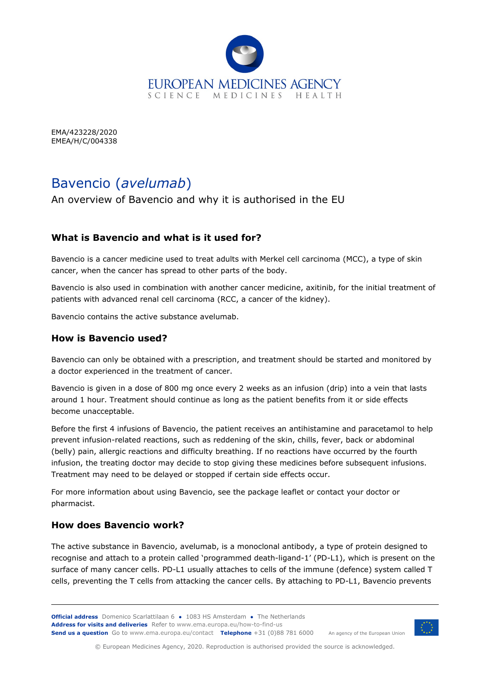

EMA/423228/2020 EMEA/H/C/004338

# Bavencio (*avelumab*)

An overview of Bavencio and why it is authorised in the EU

## **What is Bavencio and what is it used for?**

Bavencio is a cancer medicine used to treat adults with Merkel cell carcinoma (MCC), a type of skin cancer, when the cancer has spread to other parts of the body.

Bavencio is also used in combination with another cancer medicine, axitinib, for the initial treatment of patients with advanced renal cell carcinoma (RCC, a cancer of the kidney).

Bavencio contains the active substance avelumab.

## **How is Bavencio used?**

Bavencio can only be obtained with a prescription, and treatment should be started and monitored by a doctor experienced in the treatment of cancer.

Bavencio is given in a dose of 800 mg once every 2 weeks as an infusion (drip) into a vein that lasts around 1 hour. Treatment should continue as long as the patient benefits from it or side effects become unacceptable.

Before the first 4 infusions of Bavencio, the patient receives an antihistamine and paracetamol to help prevent infusion-related reactions, such as reddening of the skin, chills, fever, back or abdominal (belly) pain, allergic reactions and difficulty breathing. If no reactions have occurred by the fourth infusion, the treating doctor may decide to stop giving these medicines before subsequent infusions. Treatment may need to be delayed or stopped if certain side effects occur.

For more information about using Bavencio, see the package leaflet or contact your doctor or pharmacist.

## **How does Bavencio work?**

The active substance in Bavencio, avelumab, is a monoclonal antibody, a type of protein designed to recognise and attach to a protein called 'programmed death-ligand-1' (PD-L1), which is present on the surface of many cancer cells. PD-L1 usually attaches to cells of the immune (defence) system called T cells, preventing the T cells from attacking the cancer cells. By attaching to PD-L1, Bavencio prevents



© European Medicines Agency, 2020. Reproduction is authorised provided the source is acknowledged.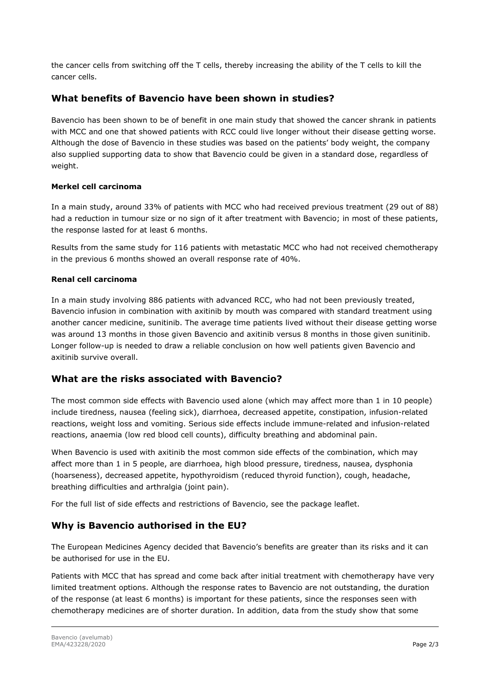the cancer cells from switching off the T cells, thereby increasing the ability of the T cells to kill the cancer cells.

### **What benefits of Bavencio have been shown in studies?**

Bavencio has been shown to be of benefit in one main study that showed the cancer shrank in patients with MCC and one that showed patients with RCC could live longer without their disease getting worse. Although the dose of Bavencio in these studies was based on the patients' body weight, the company also supplied supporting data to show that Bavencio could be given in a standard dose, regardless of weight.

#### **Merkel cell carcinoma**

In a main study, around 33% of patients with MCC who had received previous treatment (29 out of 88) had a reduction in tumour size or no sign of it after treatment with Bavencio; in most of these patients, the response lasted for at least 6 months.

Results from the same study for 116 patients with metastatic MCC who had not received chemotherapy in the previous 6 months showed an overall response rate of 40%.

#### **Renal cell carcinoma**

In a main study involving 886 patients with advanced RCC, who had not been previously treated, Bavencio infusion in combination with axitinib by mouth was compared with standard treatment using another cancer medicine, sunitinib. The average time patients lived without their disease getting worse was around 13 months in those given Bavencio and axitinib versus 8 months in those given sunitinib. Longer follow-up is needed to draw a reliable conclusion on how well patients given Bavencio and axitinib survive overall.

## **What are the risks associated with Bavencio?**

The most common side effects with Bavencio used alone (which may affect more than 1 in 10 people) include tiredness, nausea (feeling sick), diarrhoea, decreased appetite, constipation, infusion-related reactions, weight loss and vomiting. Serious side effects include immune-related and infusion-related reactions, anaemia (low red blood cell counts), difficulty breathing and abdominal pain.

When Bavencio is used with axitinib the most common side effects of the combination, which may affect more than 1 in 5 people, are diarrhoea, high blood pressure, tiredness, nausea, dysphonia (hoarseness), decreased appetite, hypothyroidism (reduced thyroid function), cough, headache, breathing difficulties and arthralgia (joint pain).

For the full list of side effects and restrictions of Bavencio, see the package leaflet.

## **Why is Bavencio authorised in the EU?**

The European Medicines Agency decided that Bavencio's benefits are greater than its risks and it can be authorised for use in the EU.

Patients with MCC that has spread and come back after initial treatment with chemotherapy have very limited treatment options. Although the response rates to Bavencio are not outstanding, the duration of the response (at least 6 months) is important for these patients, since the responses seen with chemotherapy medicines are of shorter duration. In addition, data from the study show that some